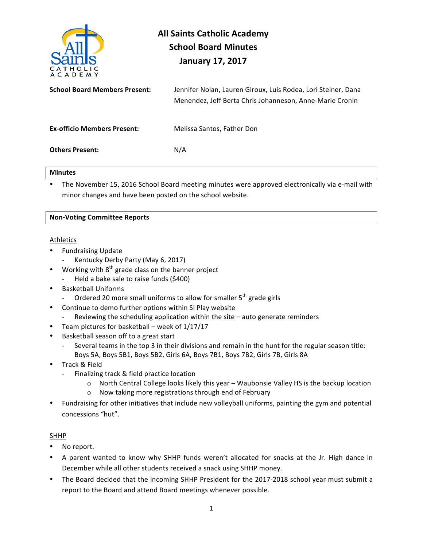

# **All Saints Catholic Academy School Board Minutes January 17, 2017**

| <b>School Board Members Present:</b> | Jennifer Nolan, Lauren Giroux, Luis Rodea, Lori Steiner, Dana<br>Menendez, Jeff Berta Chris Johanneson, Anne-Marie Cronin |
|--------------------------------------|---------------------------------------------------------------------------------------------------------------------------|
| <b>Ex-officio Members Present:</b>   | Melissa Santos, Father Don                                                                                                |
| <b>Others Present:</b>               | N/A                                                                                                                       |

## **Minutes**

The November 15, 2016 School Board meeting minutes were approved electronically via e-mail with minor changes and have been posted on the school website.

# **Non-Voting Committee Reports**

# Athletics

- Fundraising Update
	- Kentucky Derby Party (May 6, 2017)
- Working with  $8<sup>th</sup>$  grade class on the banner project
	- Held a bake sale to raise funds (\$400)
- Basketball Uniforms
	- Ordered 20 more small uniforms to allow for smaller  $5<sup>th</sup>$  grade girls
- Continue to demo further options within SI Play website
- Reviewing the scheduling application within the site  $-$  auto generate reminders
- Team pictures for basketball week of  $1/17/17$
- Basketball season off to a great start
	- Several teams in the top 3 in their divisions and remain in the hunt for the regular season title: Boys 5A, Boys 5B1, Boys 5B2, Girls 6A, Boys 7B1, Boys 7B2, Girls 7B, Girls 8A
- Track & Field
	- Finalizing track & field practice location
		- $\circ$  North Central College looks likely this year Waubonsie Valley HS is the backup location
		- $\circ$  Now taking more registrations through end of February
- Fundraising for other initiatives that include new volleyball uniforms, painting the gym and potential concessions "hut".

# SHHP

- No report.
- A parent wanted to know why SHHP funds weren't allocated for snacks at the Jr. High dance in December while all other students received a snack using SHHP money.
- The Board decided that the incoming SHHP President for the 2017-2018 school year must submit a report to the Board and attend Board meetings whenever possible.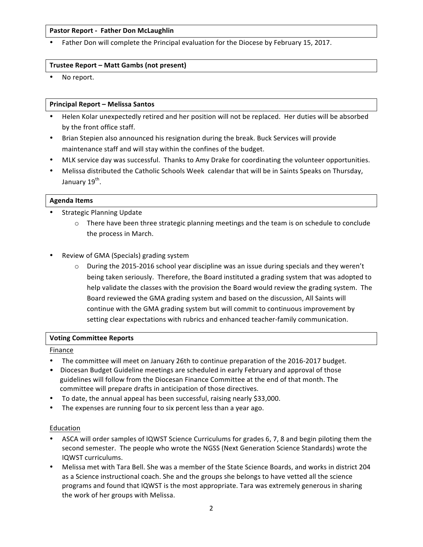# **Pastor Report - Father Don McLaughlin**

Father Don will complete the Principal evaluation for the Diocese by February 15, 2017.

## **Trustee Report – Matt Gambs (not present)**

No report.

## **Principal Report – Melissa Santos**

- Helen Kolar unexpectedly retired and her position will not be replaced. Her duties will be absorbed by the front office staff.
- Brian Stepien also announced his resignation during the break. Buck Services will provide maintenance staff and will stay within the confines of the budget.
- MLK service day was successful. Thanks to Amy Drake for coordinating the volunteer opportunities.
- Melissa distributed the Catholic Schools Week calendar that will be in Saints Speaks on Thursday, January 19<sup>th</sup>.

## **Agenda Items**

- Strategic Planning Update
	- $\circ$  There have been three strategic planning meetings and the team is on schedule to conclude the process in March.
- Review of GMA (Specials) grading system
	- $\circ$  During the 2015-2016 school year discipline was an issue during specials and they weren't being taken seriously. Therefore, the Board instituted a grading system that was adopted to help validate the classes with the provision the Board would review the grading system. The Board reviewed the GMA grading system and based on the discussion, All Saints will continue with the GMA grading system but will commit to continuous improvement by setting clear expectations with rubrics and enhanced teacher-family communication.

#### **Voting Committee Reports**

#### Finance

- The committee will meet on January 26th to continue preparation of the 2016-2017 budget.
- Diocesan Budget Guideline meetings are scheduled in early February and approval of those guidelines will follow from the Diocesan Finance Committee at the end of that month. The committee will prepare drafts in anticipation of those directives.
- To date, the annual appeal has been successful, raising nearly \$33,000.
- The expenses are running four to six percent less than a year ago.

#### Education

- ASCA will order samples of IQWST Science Curriculums for grades 6, 7, 8 and begin piloting them the second semester. The people who wrote the NGSS (Next Generation Science Standards) wrote the IQWST curriculums.
- Melissa met with Tara Bell. She was a member of the State Science Boards, and works in district 204 as a Science instructional coach. She and the groups she belongs to have vetted all the science programs and found that IQWST is the most appropriate. Tara was extremely generous in sharing the work of her groups with Melissa.